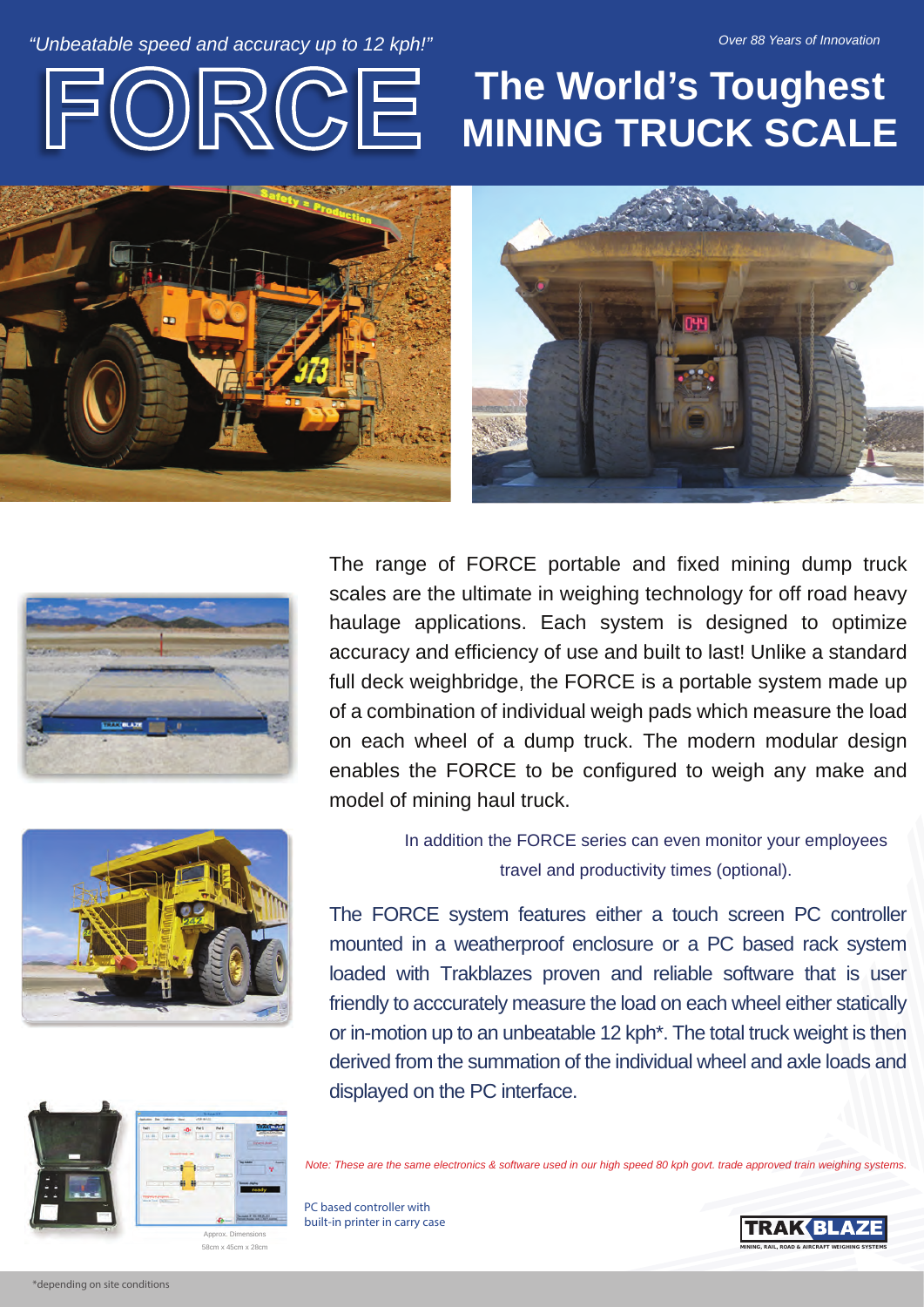## *Constable speed and accuracy up to 12 kph!" Due to the speed and accuracy up to 12 kph!" Due to the speed and accuracy up to 12 kph!"*



## $\text{DRCGE}$  The World's Toughest **MINING TRUCK SCALE**







The range of FORCE portable and fixed mining dump truck scales are the ultimate in weighing technology for off road heavy haulage applications. Each system is designed to optimize accuracy and efficiency of use and built to last! Unlike a standard full deck weighbridge, the FORCE is a portable system made up of a combination of individual weigh pads which measure the load on each wheel of a dump truck. The modern modular design enables the FORCE to be configured to weigh any make and model of mining haul truck.

> In addition the FORCE series can even monitor your employees travel and productivity times (optional).

The FORCE system features either a touch screen PC controller mounted in a weatherproof enclosure or a PC based rack system loaded with Trakblazes proven and reliable software that is user friendly to acccurately measure the load on each wheel either statically or in-motion up to an unbeatable 12 kph\*. The total truck weight is then derived from the summation of the individual wheel and axle loads and displayed on the PC interface.



58cm x 45cm x 28cm **MINING SYSTEMS** with a state of the state of the state of the state of the state of the state of the state of the state of the state of the state of the state of the state of the state of the state of t

*Note: These are the same electronics & software used in our high speed 80 kph govt. trade approved train weighing systems.*

PC based controller with built-in printer in carry case